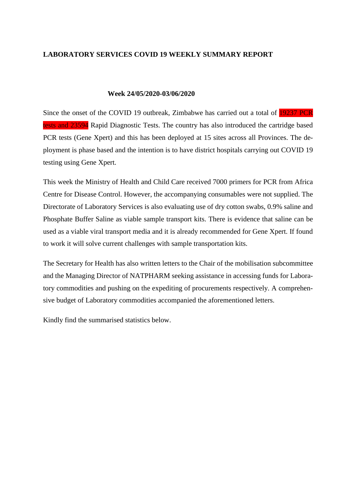#### **LABORATORY SERVICES COVID 19 WEEKLY SUMMARY REPORT**

#### **Week 24/05/2020-03/06/2020**

Since the onset of the COVID 19 outbreak, Zimbabwe has carried out a total of 19237 PCR tests and 23594 Rapid Diagnostic Tests. The country has also introduced the cartridge based PCR tests (Gene Xpert) and this has been deployed at 15 sites across all Provinces. The deployment is phase based and the intention is to have district hospitals carrying out COVID 19 testing using Gene Xpert.

This week the Ministry of Health and Child Care received 7000 primers for PCR from Africa Centre for Disease Control. However, the accompanying consumables were not supplied. The Directorate of Laboratory Services is also evaluating use of dry cotton swabs, 0.9% saline and Phosphate Buffer Saline as viable sample transport kits. There is evidence that saline can be used as a viable viral transport media and it is already recommended for Gene Xpert. If found to work it will solve current challenges with sample transportation kits.

The Secretary for Health has also written letters to the Chair of the mobilisation subcommittee and the Managing Director of NATPHARM seeking assistance in accessing funds for Laboratory commodities and pushing on the expediting of procurements respectively. A comprehensive budget of Laboratory commodities accompanied the aforementioned letters.

Kindly find the summarised statistics below.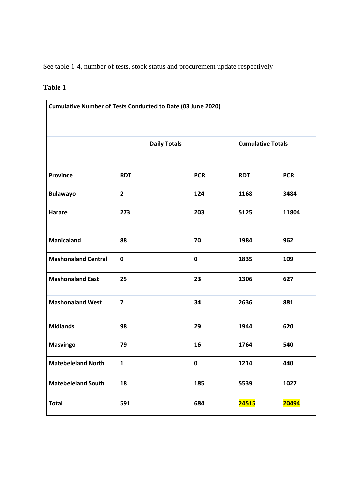See table 1-4, number of tests, stock status and procurement update respectively

## **Table 1**

|                            | <b>Cumulative Number of Tests Conducted to Date (03 June 2020)</b> |             |                          |            |
|----------------------------|--------------------------------------------------------------------|-------------|--------------------------|------------|
|                            | <b>Daily Totals</b>                                                |             | <b>Cumulative Totals</b> |            |
| <b>Province</b>            | <b>RDT</b>                                                         | <b>PCR</b>  | <b>RDT</b>               | <b>PCR</b> |
| <b>Bulawayo</b>            | $\overline{2}$                                                     | 124         | 1168                     | 3484       |
| Harare                     | 273                                                                | 203         | 5125                     | 11804      |
| <b>Manicaland</b>          | 88                                                                 | 70          | 1984                     | 962        |
| <b>Mashonaland Central</b> | $\mathbf 0$                                                        | $\mathbf 0$ | 1835                     | 109        |
| <b>Mashonaland East</b>    | 25                                                                 | 23          | 1306                     | 627        |
| <b>Mashonaland West</b>    | $\overline{7}$                                                     | 34          | 2636                     | 881        |
| <b>Midlands</b>            | 98                                                                 | 29          | 1944                     | 620        |
| <b>Masvingo</b>            | 79                                                                 | 16          | 1764                     | 540        |
| <b>Matebeleland North</b>  | $\mathbf{1}$                                                       | 0           | 1214                     | 440        |
| <b>Matebeleland South</b>  | 18                                                                 | 185         | 5539                     | 1027       |
| <b>Total</b>               | 591                                                                | 684         | 24515                    | 20494      |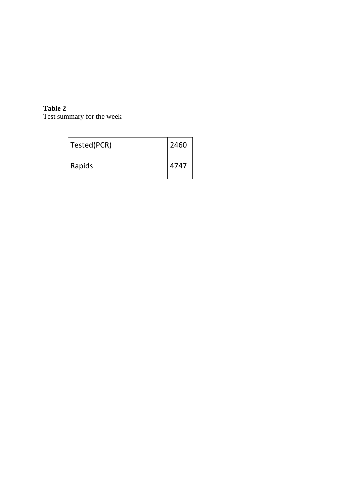### **Table 2**

Test summary for the week

| Tested(PCR) | 2460 |
|-------------|------|
| Rapids      | 4747 |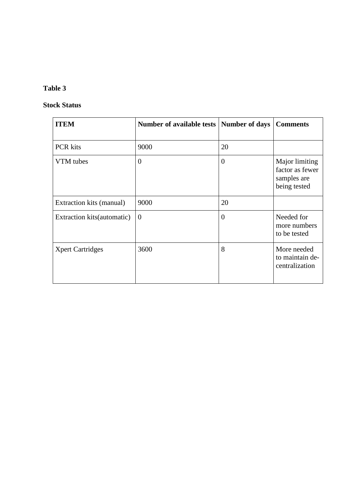#### **Table 3**

#### **Stock Status**

| <b>ITEM</b>                 | Number of available tests | <b>Number of days</b> | <b>Comments</b>                                                  |
|-----------------------------|---------------------------|-----------------------|------------------------------------------------------------------|
| <b>PCR</b> kits             | 9000                      | 20                    |                                                                  |
| VTM tubes                   | $\overline{0}$            | $\overline{0}$        | Major limiting<br>factor as fewer<br>samples are<br>being tested |
| Extraction kits (manual)    | 9000                      | 20                    |                                                                  |
| Extraction kits (automatic) | $\theta$                  | $\overline{0}$        | Needed for<br>more numbers<br>to be tested                       |
| <b>Xpert Cartridges</b>     | 3600                      | 8                     | More needed<br>to maintain de-<br>centralization                 |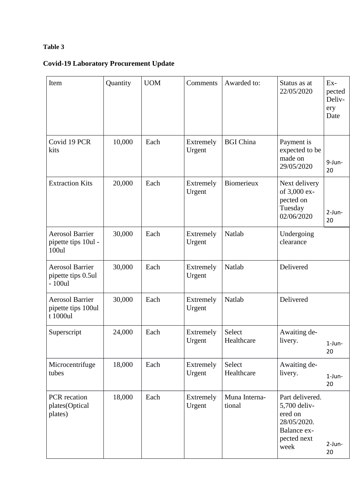## **Table 3**

# **Covid-19 Laboratory Procurement Update**

| Item                                                      | Quantity | <b>UOM</b> | Comments            | Awarded to:             | Status as at<br>22/05/2020                                                                      | Ex-<br>pected<br>Deliv-<br>ery<br>Date |
|-----------------------------------------------------------|----------|------------|---------------------|-------------------------|-------------------------------------------------------------------------------------------------|----------------------------------------|
| Covid 19 PCR<br>kits                                      | 10,000   | Each       | Extremely<br>Urgent | <b>BGI</b> China        | Payment is<br>expected to be<br>made on<br>29/05/2020                                           | 9-Jun-<br>20                           |
| <b>Extraction Kits</b>                                    | 20,000   | Each       | Extremely<br>Urgent | Biomerieux              | Next delivery<br>of 3,000 ex-<br>pected on<br>Tuesday<br>02/06/2020                             | $2-Jun-$<br>20                         |
| <b>Aerosol Barrier</b><br>pipette tips 10ul -<br>100ul    | 30,000   | Each       | Extremely<br>Urgent | Natlab                  | Undergoing<br>clearance                                                                         |                                        |
| <b>Aerosol Barrier</b><br>pipette tips 0.5ul<br>$-100$ ul | 30,000   | Each       | Extremely<br>Urgent | Natlab                  | Delivered                                                                                       |                                        |
| <b>Aerosol Barrier</b><br>pipette tips 100ul<br>t 1000ul  | 30,000   | Each       | Extremely<br>Urgent | Natlab                  | Delivered                                                                                       |                                        |
| Superscript                                               | 24,000   | Each       | Extremely<br>Urgent | Select<br>Healthcare    | Awaiting de-<br>livery.                                                                         | 1-Jun-<br>20                           |
| Microcentrifuge<br>tubes                                  | 18,000   | Each       | Extremely<br>Urgent | Select<br>Healthcare    | Awaiting de-<br>livery.                                                                         | $1$ -Jun-<br>20                        |
| PCR recation<br>plates(Optical<br>plates)                 | 18,000   | Each       | Extremely<br>Urgent | Muna Interna-<br>tional | Part delivered.<br>5,700 deliv-<br>ered on<br>28/05/2020.<br>Balance ex-<br>pected next<br>week | $2-Jun-$<br>20                         |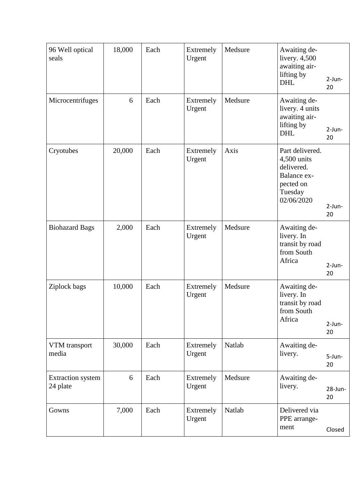| 96 Well optical<br>seals             | 18,000 | Each | Extremely<br>Urgent | Medsure | Awaiting de-<br>livery. $4,500$<br>awaiting air-<br>lifting by<br><b>DHL</b>                      | $2-Jun-$<br>20   |
|--------------------------------------|--------|------|---------------------|---------|---------------------------------------------------------------------------------------------------|------------------|
| Microcentrifuges                     | 6      | Each | Extremely<br>Urgent | Medsure | Awaiting de-<br>livery. 4 units<br>awaiting air-<br>lifting by<br><b>DHL</b>                      | $2$ -Jun-<br>20  |
| Cryotubes                            | 20,000 | Each | Extremely<br>Urgent | Axis    | Part delivered.<br>4,500 units<br>delivered.<br>Balance ex-<br>pected on<br>Tuesday<br>02/06/2020 | $2$ -Jun-<br>20  |
| <b>Biohazard Bags</b>                | 2,000  | Each | Extremely<br>Urgent | Medsure | Awaiting de-<br>livery. In<br>transit by road<br>from South<br>Africa                             | $2-Jun-$<br>20   |
| Ziplock bags                         | 10,000 | Each | Extremely<br>Urgent | Medsure | Awaiting de-<br>livery. In<br>transit by road<br>from South<br>Africa                             | $2-Jun-$<br>20   |
| VTM transport<br>media               | 30,000 | Each | Extremely<br>Urgent | Natlab  | Awaiting de-<br>livery.                                                                           | 5-Jun-<br>20     |
| <b>Extraction</b> system<br>24 plate | 6      | Each | Extremely<br>Urgent | Medsure | Awaiting de-<br>livery.                                                                           | $28$ -Jun-<br>20 |
| Gowns                                | 7,000  | Each | Extremely<br>Urgent | Natlab  | Delivered via<br>PPE arrange-<br>ment                                                             | Closed           |